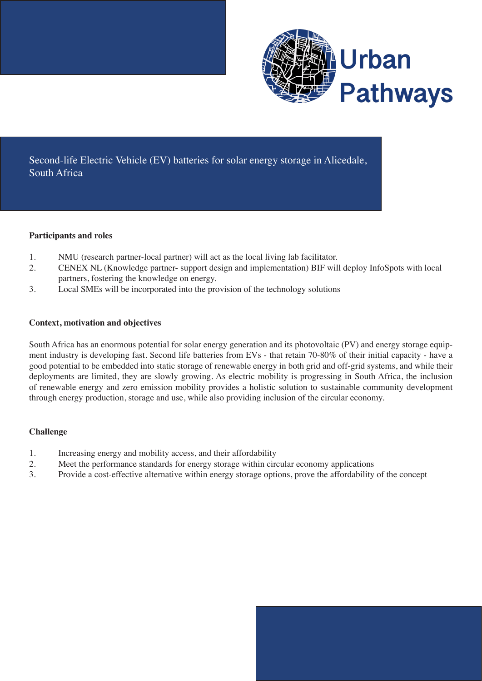

Second-life Electric Vehicle (EV) batteries for solar energy storage in Alicedale, South Africa

### **Participants and roles**

- 1. NMU (research partner-local partner) will act as the local living lab facilitator.
- 2. CENEX NL (Knowledge partner- support design and implementation) BIF will deploy InfoSpots with local partners, fostering the knowledge on energy.
- 3. Local SMEs will be incorporated into the provision of the technology solutions

## **Context, motivation and objectives**

South Africa has an enormous potential for solar energy generation and its photovoltaic (PV) and energy storage equipment industry is developing fast. Second life batteries from EVs - that retain 70-80% of their initial capacity - have a good potential to be embedded into static storage of renewable energy in both grid and off-grid systems, and while their deployments are limited, they are slowly growing. As electric mobility is progressing in South Africa, the inclusion of renewable energy and zero emission mobility provides a holistic solution to sustainable community development through energy production, storage and use, while also providing inclusion of the circular economy.

# **Challenge**

- 1. Increasing energy and mobility access, and their affordability
- 2. Meet the performance standards for energy storage within circular economy applications
- 3. Provide a cost-effective alternative within energy storage options, prove the affordability of the concept